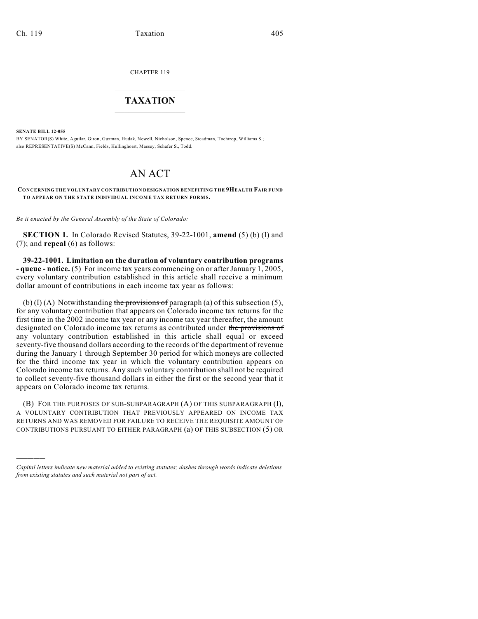CHAPTER 119

## $\mathcal{L}_\text{max}$  . The set of the set of the set of the set of the set of the set of the set of the set of the set of the set of the set of the set of the set of the set of the set of the set of the set of the set of the set **TAXATION**  $\_$

**SENATE BILL 12-055**

)))))

BY SENATOR(S) White, Aguilar, Giron, Guzman, Hudak, Newell, Nicholson, Spence, Steadman, Tochtrop, Williams S.; also REPRESENTATIVE(S) McCann, Fields, Hullinghorst, Massey, Schafer S., Todd.

## AN ACT

## **CONCERNING THE VOLUNTARY CONTRIBUTION DESIGNATION BENEFITING THE 9HEALTH FAIR FUND TO APPEAR ON THE STATE INDIVIDUAL INCOME TAX RETURN FORMS.**

*Be it enacted by the General Assembly of the State of Colorado:*

**SECTION 1.** In Colorado Revised Statutes, 39-22-1001, **amend** (5) (b) (I) and (7); and **repeal** (6) as follows:

**39-22-1001. Limitation on the duration of voluntary contribution programs - queue - notice.** (5) For income tax years commencing on or after January 1, 2005, every voluntary contribution established in this article shall receive a minimum dollar amount of contributions in each income tax year as follows:

(b) (I) (A) Notwithstanding the provisions of paragraph (a) of this subsection (5), for any voluntary contribution that appears on Colorado income tax returns for the first time in the 2002 income tax year or any income tax year thereafter, the amount designated on Colorado income tax returns as contributed under the provisions of any voluntary contribution established in this article shall equal or exceed seventy-five thousand dollars according to the records of the department of revenue during the January 1 through September 30 period for which moneys are collected for the third income tax year in which the voluntary contribution appears on Colorado income tax returns. Any such voluntary contribution shall not be required to collect seventy-five thousand dollars in either the first or the second year that it appears on Colorado income tax returns.

(B) FOR THE PURPOSES OF SUB-SUBPARAGRAPH (A) OF THIS SUBPARAGRAPH (I), A VOLUNTARY CONTRIBUTION THAT PREVIOUSLY APPEARED ON INCOME TAX RETURNS AND WAS REMOVED FOR FAILURE TO RECEIVE THE REQUISITE AMOUNT OF CONTRIBUTIONS PURSUANT TO EITHER PARAGRAPH (a) OF THIS SUBSECTION (5) OR

*Capital letters indicate new material added to existing statutes; dashes through words indicate deletions from existing statutes and such material not part of act.*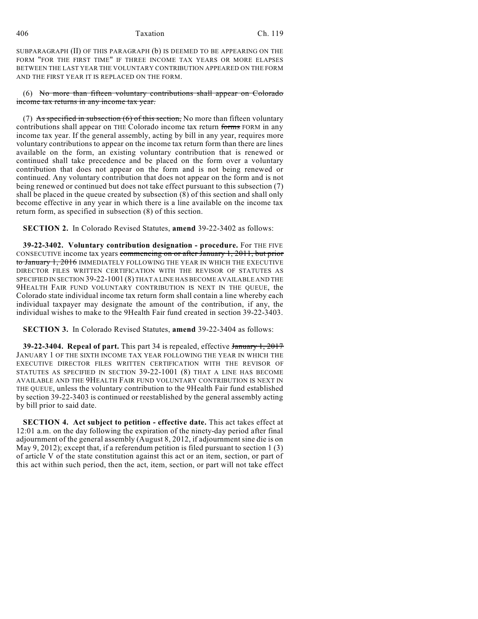## 406 Taxation Ch. 119

SUBPARAGRAPH (II) OF THIS PARAGRAPH (b) IS DEEMED TO BE APPEARING ON THE FORM "FOR THE FIRST TIME" IF THREE INCOME TAX YEARS OR MORE ELAPSES BETWEEN THE LAST YEAR THE VOLUNTARY CONTRIBUTION APPEARED ON THE FORM AND THE FIRST YEAR IT IS REPLACED ON THE FORM.

(6) No more than fifteen voluntary contributions shall appear on Colorado income tax returns in any income tax year.

(7) As specified in subsection  $(6)$  of this section, No more than fifteen voluntary contributions shall appear on THE Colorado income tax return forms FORM in any income tax year. If the general assembly, acting by bill in any year, requires more voluntary contributions to appear on the income tax return form than there are lines available on the form, an existing voluntary contribution that is renewed or continued shall take precedence and be placed on the form over a voluntary contribution that does not appear on the form and is not being renewed or continued. Any voluntary contribution that does not appear on the form and is not being renewed or continued but does not take effect pursuant to this subsection (7) shall be placed in the queue created by subsection (8) of this section and shall only become effective in any year in which there is a line available on the income tax return form, as specified in subsection (8) of this section.

**SECTION 2.** In Colorado Revised Statutes, **amend** 39-22-3402 as follows:

**39-22-3402. Voluntary contribution designation - procedure.** For THE FIVE CONSECUTIVE income tax years commencing on or after January 1, 2011, but prior to January 1, 2016 IMMEDIATELY FOLLOWING THE YEAR IN WHICH THE EXECUTIVE DIRECTOR FILES WRITTEN CERTIFICATION WITH THE REVISOR OF STATUTES AS SPECIFIED IN SECTION 39-22-1001 (8) THAT A LINE HAS BECOME AVAILABLE AND THE 9HEALTH FAIR FUND VOLUNTARY CONTRIBUTION IS NEXT IN THE QUEUE, the Colorado state individual income tax return form shall contain a line whereby each individual taxpayer may designate the amount of the contribution, if any, the individual wishes to make to the 9Health Fair fund created in section 39-22-3403.

**SECTION 3.** In Colorado Revised Statutes, **amend** 39-22-3404 as follows:

**39-22-3404. Repeal of part.** This part 34 is repealed, effective January 1, 2017 JANUARY 1 OF THE SIXTH INCOME TAX YEAR FOLLOWING THE YEAR IN WHICH THE EXECUTIVE DIRECTOR FILES WRITTEN CERTIFICATION WITH THE REVISOR OF STATUTES AS SPECIFIED IN SECTION 39-22-1001 (8) THAT A LINE HAS BECOME AVAILABLE AND THE 9HEALTH FAIR FUND VOLUNTARY CONTRIBUTION IS NEXT IN THE QUEUE, unless the voluntary contribution to the 9Health Fair fund established by section 39-22-3403 is continued or reestablished by the general assembly acting by bill prior to said date.

**SECTION 4. Act subject to petition - effective date.** This act takes effect at 12:01 a.m. on the day following the expiration of the ninety-day period after final adjournment of the general assembly (August 8, 2012, if adjournment sine die is on May 9, 2012); except that, if a referendum petition is filed pursuant to section 1 (3) of article V of the state constitution against this act or an item, section, or part of this act within such period, then the act, item, section, or part will not take effect